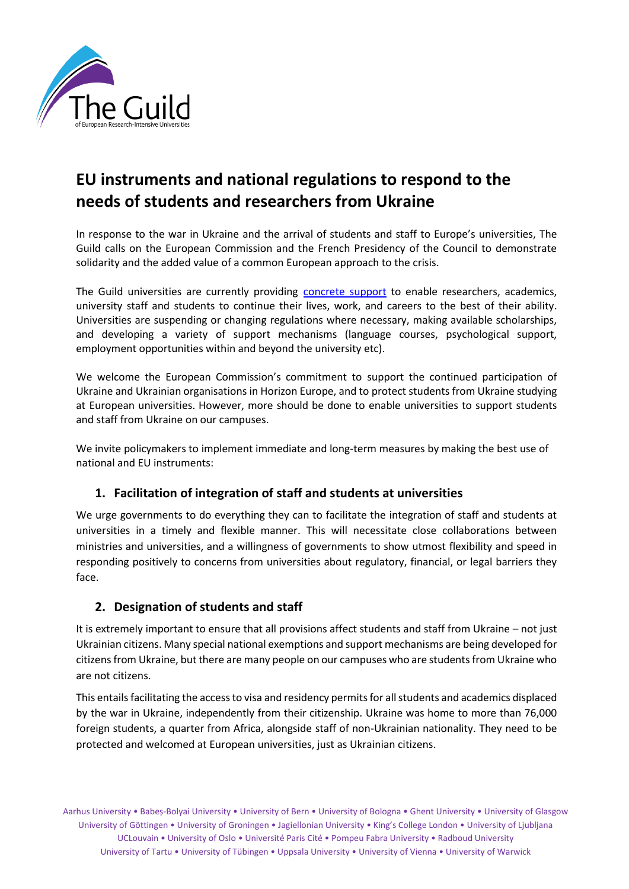

# **EU instruments and national regulations to respond to the needs of students and researchers from Ukraine**

In response to the war in Ukraine and the arrival of students and staff to Europe's universities, The Guild calls on the European Commission and the French Presidency of the Council to demonstrate solidarity and the added value of a common European approach to the crisis.

The Guild universities are currently providing [concrete support](https://www.the-guild.eu/resources/the-guild-s-universities-supporting-researchers-ac.html) to enable researchers, academics, university staff and students to continue their lives, work, and careers to the best of their ability. Universities are suspending or changing regulations where necessary, making available scholarships, and developing a variety of support mechanisms (language courses, psychological support, employment opportunities within and beyond the university etc).

We welcome the European Commission's commitment to support the continued participation of Ukraine and Ukrainian organisations in Horizon Europe, and to protect students from Ukraine studying at European universities. However, more should be done to enable universities to support students and staff from Ukraine on our campuses.

We invite policymakers to implement immediate and long-term measures by making the best use of national and EU instruments:

# **1. Facilitation of integration of staff and students at universities**

We urge governments to do everything they can to facilitate the integration of staff and students at universities in a timely and flexible manner. This will necessitate close collaborations between ministries and universities, and a willingness of governments to show utmost flexibility and speed in responding positively to concerns from universities about regulatory, financial, or legal barriers they face.

# **2. Designation of students and staff**

It is extremely important to ensure that all provisions affect students and staff from Ukraine – not just Ukrainian citizens. Many special national exemptions and support mechanisms are being developed for citizens from Ukraine, but there are many people on our campuses who are students from Ukraine who are not citizens.

This entails facilitating the access to visa and residency permits for all students and academics displaced by the war in Ukraine, independently from their citizenship. Ukraine was home to more than 76,000 foreign students, a quarter from Africa, alongside staff of non-Ukrainian nationality. They need to be protected and welcomed at European universities, just as Ukrainian citizens.

Aarhus University • Babeș-Bolyai University • University of Bern • University of Bologna • Ghent University • University of Glasgow University of Göttingen • University of Groningen • Jagiellonian University • King's College London • University of Ljubljana UCLouvain • University of Oslo • Université Paris Cité • Pompeu Fabra University • Radboud University University of Tartu • University of Tübingen • Uppsala University • University of Vienna • University of Warwick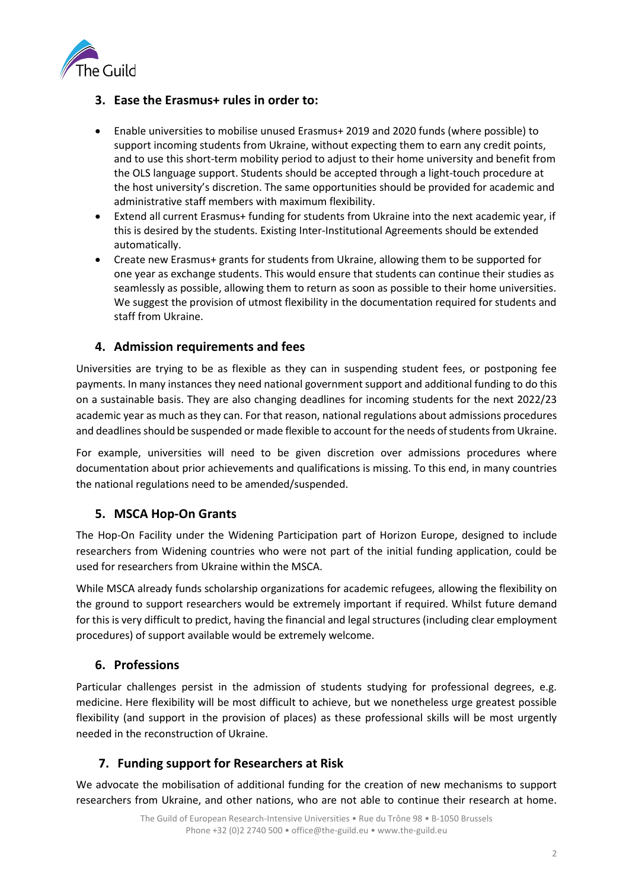

## **3. Ease the Erasmus+ rules in order to:**

- Enable universities to mobilise unused Erasmus+ 2019 and 2020 funds (where possible) to support incoming students from Ukraine, without expecting them to earn any credit points, and to use this short-term mobility period to adjust to their home university and benefit from the OLS language support. Students should be accepted through a light-touch procedure at the host university's discretion. The same opportunities should be provided for academic and administrative staff members with maximum flexibility.
- Extend all current Erasmus+ funding for students from Ukraine into the next academic year, if this is desired by the students. Existing Inter-Institutional Agreements should be extended automatically.
- Create new Erasmus+ grants for students from Ukraine, allowing them to be supported for one year as exchange students. This would ensure that students can continue their studies as seamlessly as possible, allowing them to return as soon as possible to their home universities. We suggest the provision of utmost flexibility in the documentation required for students and staff from Ukraine.

## **4. Admission requirements and fees**

Universities are trying to be as flexible as they can in suspending student fees, or postponing fee payments. In many instances they need national government support and additional funding to do this on a sustainable basis. They are also changing deadlines for incoming students for the next 2022/23 academic year as much as they can. For that reason, national regulations about admissions procedures and deadlines should be suspended or made flexible to account for the needs of students from Ukraine.

For example, universities will need to be given discretion over admissions procedures where documentation about prior achievements and qualifications is missing. To this end, in many countries the national regulations need to be amended/suspended.

### **5. MSCA Hop-On Grants**

The Hop-On Facility under the Widening Participation part of Horizon Europe, designed to include researchers from Widening countries who were not part of the initial funding application, could be used for researchers from Ukraine within the MSCA.

While MSCA already funds scholarship organizations for academic refugees, allowing the flexibility on the ground to support researchers would be extremely important if required. Whilst future demand for this is very difficult to predict, having the financial and legal structures (including clear employment procedures) of support available would be extremely welcome.

### **6. Professions**

Particular challenges persist in the admission of students studying for professional degrees, e.g. medicine. Here flexibility will be most difficult to achieve, but we nonetheless urge greatest possible flexibility (and support in the provision of places) as these professional skills will be most urgently needed in the reconstruction of Ukraine.

# **7. Funding support for Researchers at Risk**

We advocate the mobilisation of additional funding for the creation of new mechanisms to support researchers from Ukraine, and other nations, who are not able to continue their research at home.